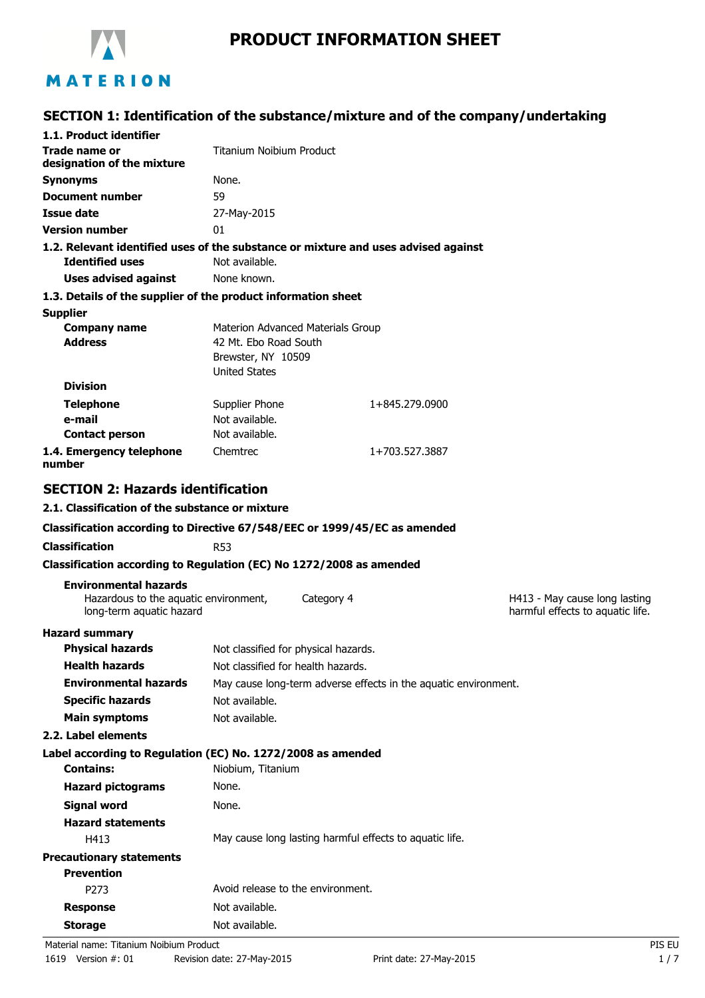

# **PRODUCT INFORMATION SHEET**

# **SECTION 1: Identification of the substance/mixture and of the company/undertaking**

| 1.1. Product identifier                                                                           |                                                                                                          |                |                                                                   |
|---------------------------------------------------------------------------------------------------|----------------------------------------------------------------------------------------------------------|----------------|-------------------------------------------------------------------|
| Trade name or<br>designation of the mixture                                                       | <b>Titanium Noibium Product</b>                                                                          |                |                                                                   |
| <b>Synonyms</b>                                                                                   | None.                                                                                                    |                |                                                                   |
| <b>Document number</b>                                                                            | 59                                                                                                       |                |                                                                   |
| Issue date                                                                                        | 27-May-2015                                                                                              |                |                                                                   |
| <b>Version number</b>                                                                             | 01                                                                                                       |                |                                                                   |
| 1.2. Relevant identified uses of the substance or mixture and uses advised against                |                                                                                                          |                |                                                                   |
| <b>Identified uses</b>                                                                            | Not available.                                                                                           |                |                                                                   |
| <b>Uses advised against</b>                                                                       | None known.                                                                                              |                |                                                                   |
| 1.3. Details of the supplier of the product information sheet                                     |                                                                                                          |                |                                                                   |
| <b>Supplier</b><br><b>Company name</b><br><b>Address</b>                                          | Materion Advanced Materials Group<br>42 Mt. Ebo Road South<br>Brewster, NY 10509<br><b>United States</b> |                |                                                                   |
| <b>Division</b>                                                                                   |                                                                                                          |                |                                                                   |
| <b>Telephone</b>                                                                                  | Supplier Phone                                                                                           | 1+845.279.0900 |                                                                   |
| e-mail                                                                                            | Not available.                                                                                           |                |                                                                   |
| <b>Contact person</b>                                                                             | Not available.                                                                                           |                |                                                                   |
| 1.4. Emergency telephone<br>number                                                                | Chemtrec                                                                                                 | 1+703.527.3887 |                                                                   |
| <b>SECTION 2: Hazards identification</b>                                                          |                                                                                                          |                |                                                                   |
| 2.1. Classification of the substance or mixture                                                   |                                                                                                          |                |                                                                   |
| Classification according to Directive 67/548/EEC or 1999/45/EC as amended                         |                                                                                                          |                |                                                                   |
| <b>Classification</b>                                                                             | R <sub>53</sub>                                                                                          |                |                                                                   |
| Classification according to Regulation (EC) No 1272/2008 as amended                               |                                                                                                          |                |                                                                   |
| <b>Environmental hazards</b><br>Hazardous to the aquatic environment,<br>long-term aquatic hazard | Category 4                                                                                               |                | H413 - May cause long lasting<br>harmful effects to aquatic life. |
| <b>Hazard summary</b><br><b>Physical hazards</b>                                                  | Not classified for physical hazards.                                                                     |                |                                                                   |
| <b>Health hazards</b>                                                                             | Not classified for health hazards.                                                                       |                |                                                                   |
| <b>Environmental hazards</b>                                                                      | May cause long-term adverse effects in the aquatic environment.                                          |                |                                                                   |
| <b>Specific hazards</b>                                                                           | Not available.                                                                                           |                |                                                                   |
| <b>Main symptoms</b>                                                                              | Not available.                                                                                           |                |                                                                   |
| 2.2. Label elements                                                                               |                                                                                                          |                |                                                                   |
| Label according to Regulation (EC) No. 1272/2008 as amended                                       |                                                                                                          |                |                                                                   |
| <b>Contains:</b>                                                                                  | Niobium, Titanium                                                                                        |                |                                                                   |
| <b>Hazard pictograms</b>                                                                          | None.                                                                                                    |                |                                                                   |
| <b>Signal word</b>                                                                                | None.                                                                                                    |                |                                                                   |
| <b>Hazard statements</b>                                                                          |                                                                                                          |                |                                                                   |
| H413                                                                                              | May cause long lasting harmful effects to aquatic life.                                                  |                |                                                                   |
| <b>Precautionary statements</b>                                                                   |                                                                                                          |                |                                                                   |
| <b>Prevention</b>                                                                                 | Avoid release to the environment.                                                                        |                |                                                                   |
| P273                                                                                              |                                                                                                          |                |                                                                   |
| <b>Response</b>                                                                                   | Not available.                                                                                           |                |                                                                   |
| <b>Storage</b>                                                                                    | Not available.                                                                                           |                |                                                                   |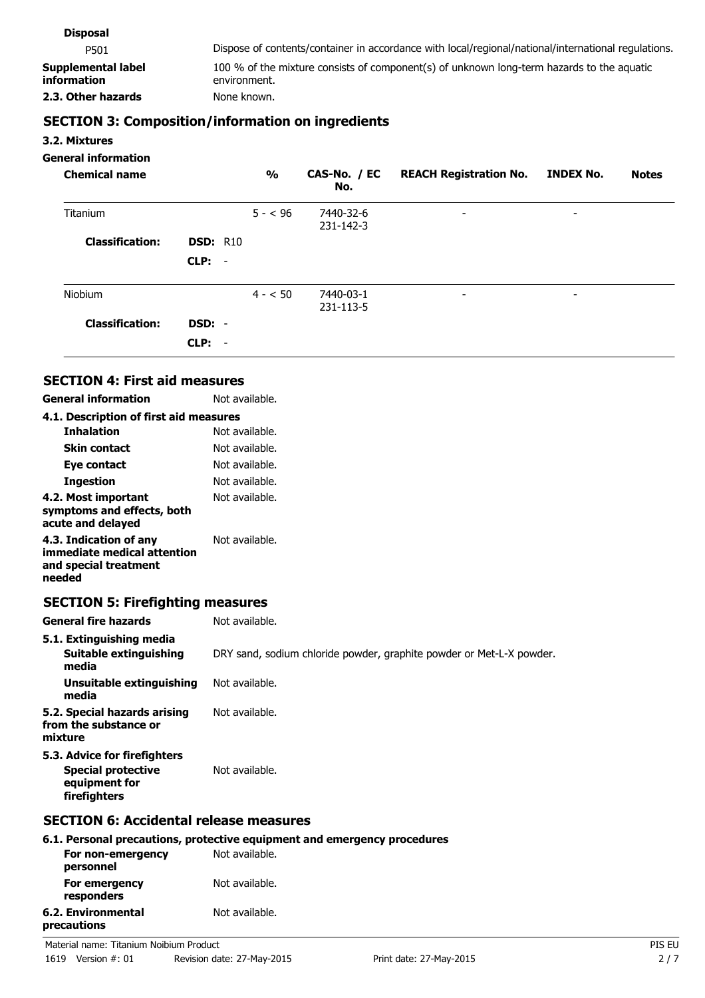| <b>Disposal</b>                   |                                                                                                           |
|-----------------------------------|-----------------------------------------------------------------------------------------------------------|
| P501                              | Dispose of contents/container in accordance with local/regional/national/international regulations.       |
| Supplemental label<br>information | 100 % of the mixture consists of component(s) of unknown long-term hazards to the aquatic<br>environment. |
| 2.3. Other hazards                | None known.                                                                                               |
|                                   |                                                                                                           |

# **SECTION 3: Composition/information on ingredients**

#### **3.2. Mixtures**

#### **General information**

| <b>Chemical name</b>   |                 | $\frac{1}{2}$ | CAS-No. / EC<br>No.    | <b>REACH Registration No.</b> | <b>INDEX No.</b> | <b>Notes</b> |
|------------------------|-----------------|---------------|------------------------|-------------------------------|------------------|--------------|
| Titanium               |                 | $5 - 50$      | 7440-32-6<br>231-142-3 | $\overline{\phantom{a}}$      | -                |              |
| <b>Classification:</b> | <b>DSD: R10</b> |               |                        |                               |                  |              |
|                        | $CLP: -$        |               |                        |                               |                  |              |
| Niobium                |                 | $4 - 50$      | 7440-03-1<br>231-113-5 | $\overline{\phantom{a}}$      | ۰                |              |
| <b>Classification:</b> | DSD: -          |               |                        |                               |                  |              |
|                        | $CLP: -$        |               |                        |                               |                  |              |

### **SECTION 4: First aid measures**

| <b>General information</b>                                                               | Not available. |
|------------------------------------------------------------------------------------------|----------------|
| 4.1. Description of first aid measures                                                   |                |
| <b>Inhalation</b>                                                                        | Not available. |
| <b>Skin contact</b>                                                                      | Not available. |
| Eye contact                                                                              | Not available. |
| Ingestion                                                                                | Not available. |
| 4.2. Most important<br>symptoms and effects, both<br>acute and delayed                   | Not available. |
| 4.3. Indication of any<br>immediate medical attention<br>and special treatment<br>needed | Not available. |

# **SECTION 5: Firefighting measures**

| <b>General fire hazards</b>                                                                | Not available.                                                       |
|--------------------------------------------------------------------------------------------|----------------------------------------------------------------------|
| 5.1. Extinguishing media<br>Suitable extinguishing<br>media                                | DRY sand, sodium chloride powder, graphite powder or Met-L-X powder. |
| Unsuitable extinguishing<br>media                                                          | Not available.                                                       |
| 5.2. Special hazards arising<br>from the substance or<br>mixture                           | Not available.                                                       |
| 5.3. Advice for firefighters<br><b>Special protective</b><br>equipment for<br>firefighters | Not available.                                                       |
| <b>SECTION 6: Accidental release measures</b>                                              |                                                                      |

|                                   | 6.1. Personal precautions, protective equipment and emergency procedures |
|-----------------------------------|--------------------------------------------------------------------------|
| For non-emergency<br>personnel    | Not available.                                                           |
| For emergency<br>responders       | Not available.                                                           |
| 6.2. Environmental<br>precautions | Not available.                                                           |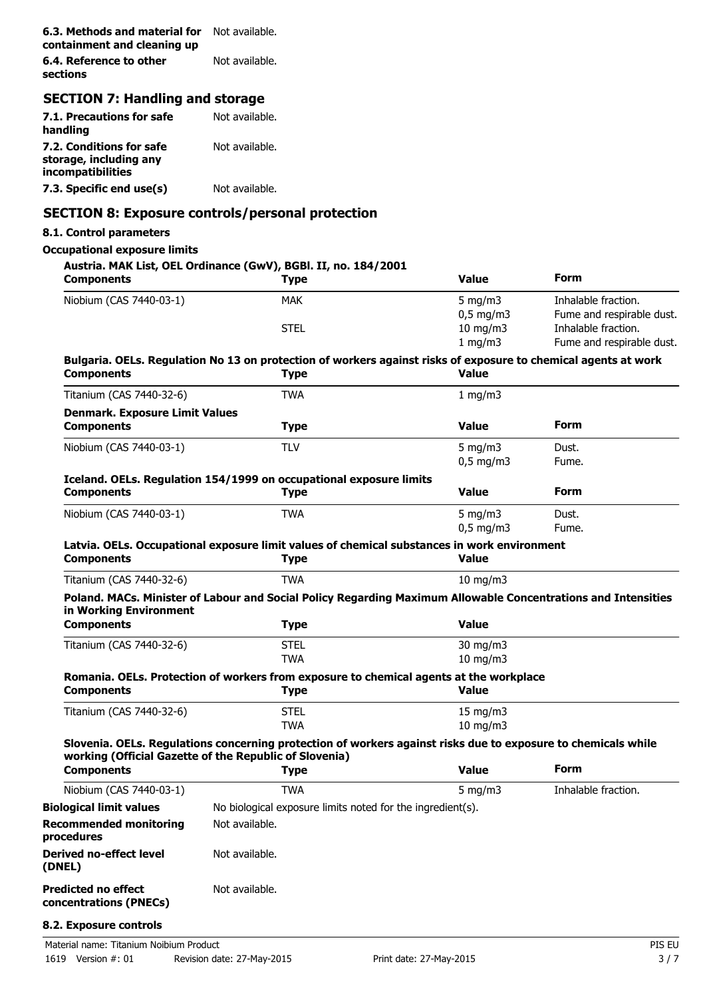| <b>6.3. Methods and material for</b> Not available.<br>containment and cleaning up |                |
|------------------------------------------------------------------------------------|----------------|
| 6.4. Reference to other<br>sections                                                | Not available. |

# **SECTION 7: Handling and storage**

| 7.1. Precautions for safe<br>handling                                   | Not available. |
|-------------------------------------------------------------------------|----------------|
| 7.2. Conditions for safe<br>storage, including any<br>incompatibilities | Not available. |
| 7.3. Specific end use(s)                                                | Not available. |

#### **SECTION 8: Exposure controls/personal protection**

#### **8.1. Control parameters**

#### **Occupational exposure limits**

#### **Austria. MAK List, OEL Ordinance (GwV), BGBl. II, no. 184/2001**

| <b>Components</b>                                    | <b>Type</b>                                                                                                                                                             | <b>Value</b>      | <b>Form</b>               |
|------------------------------------------------------|-------------------------------------------------------------------------------------------------------------------------------------------------------------------------|-------------------|---------------------------|
| Niobium (CAS 7440-03-1)                              | <b>MAK</b>                                                                                                                                                              | 5 mg/m $3$        | Inhalable fraction.       |
|                                                      |                                                                                                                                                                         | $0,5$ mg/m3       | Fume and respirable dust. |
|                                                      | <b>STEL</b>                                                                                                                                                             | $10$ mg/m $3$     | Inhalable fraction.       |
|                                                      |                                                                                                                                                                         | $1$ mg/m $3$      | Fume and respirable dust. |
| <b>Components</b>                                    | Bulgaria. OELs. Regulation No 13 on protection of workers against risks of exposure to chemical agents at work<br><b>Type</b>                                           | <b>Value</b>      |                           |
| Titanium (CAS 7440-32-6)                             | <b>TWA</b>                                                                                                                                                              | 1 mg/m3           |                           |
| <b>Denmark. Exposure Limit Values</b>                |                                                                                                                                                                         |                   |                           |
| <b>Components</b>                                    | <b>Type</b>                                                                                                                                                             | <b>Value</b>      | <b>Form</b>               |
| Niobium (CAS 7440-03-1)                              | <b>TLV</b>                                                                                                                                                              | 5 mg/m $3$        | Dust.                     |
|                                                      |                                                                                                                                                                         | $0,5$ mg/m3       | Fume.                     |
|                                                      | Iceland. OELs. Regulation 154/1999 on occupational exposure limits                                                                                                      |                   |                           |
| <b>Components</b>                                    | <b>Type</b>                                                                                                                                                             | <b>Value</b>      | <b>Form</b>               |
| Niobium (CAS 7440-03-1)                              | <b>TWA</b>                                                                                                                                                              | 5 mg/m $3$        | Dust.                     |
|                                                      |                                                                                                                                                                         | $0,5$ mg/m3       | Fume.                     |
|                                                      | Latvia. OELs. Occupational exposure limit values of chemical substances in work environment                                                                             |                   |                           |
| <b>Components</b>                                    | <b>Type</b>                                                                                                                                                             | <b>Value</b>      |                           |
| Titanium (CAS 7440-32-6)                             | <b>TWA</b>                                                                                                                                                              | $10 \text{ mg/m}$ |                           |
| in Working Environment<br><b>Components</b>          | Poland. MACs. Minister of Labour and Social Policy Regarding Maximum Allowable Concentrations and Intensities<br><b>Type</b>                                            | <b>Value</b>      |                           |
| Titanium (CAS 7440-32-6)                             | <b>STEL</b>                                                                                                                                                             | $30 \text{ mg/m}$ |                           |
|                                                      | <b>TWA</b>                                                                                                                                                              | 10 mg/m3          |                           |
|                                                      | Romania. OELs. Protection of workers from exposure to chemical agents at the workplace                                                                                  |                   |                           |
| <b>Components</b>                                    | <b>Type</b>                                                                                                                                                             | <b>Value</b>      |                           |
| Titanium (CAS 7440-32-6)                             | <b>STEL</b>                                                                                                                                                             | 15 mg/m3          |                           |
|                                                      | <b>TWA</b>                                                                                                                                                              | $10 \text{ mg/m}$ |                           |
|                                                      | Slovenia. OELs. Regulations concerning protection of workers against risks due to exposure to chemicals while<br>working (Official Gazette of the Republic of Slovenia) |                   |                           |
| <b>Components</b>                                    | <b>Type</b>                                                                                                                                                             | <b>Value</b>      | <b>Form</b>               |
| Niobium (CAS 7440-03-1)                              | <b>TWA</b>                                                                                                                                                              | 5 mg/m $3$        | Inhalable fraction.       |
| <b>Biological limit values</b>                       | No biological exposure limits noted for the ingredient(s).                                                                                                              |                   |                           |
| <b>Recommended monitoring</b><br>procedures          | Not available.                                                                                                                                                          |                   |                           |
| <b>Derived no-effect level</b><br>(DNEL)             | Not available.                                                                                                                                                          |                   |                           |
| <b>Predicted no effect</b><br>concentrations (PNECs) | Not available.                                                                                                                                                          |                   |                           |

#### **8.2. Exposure controls**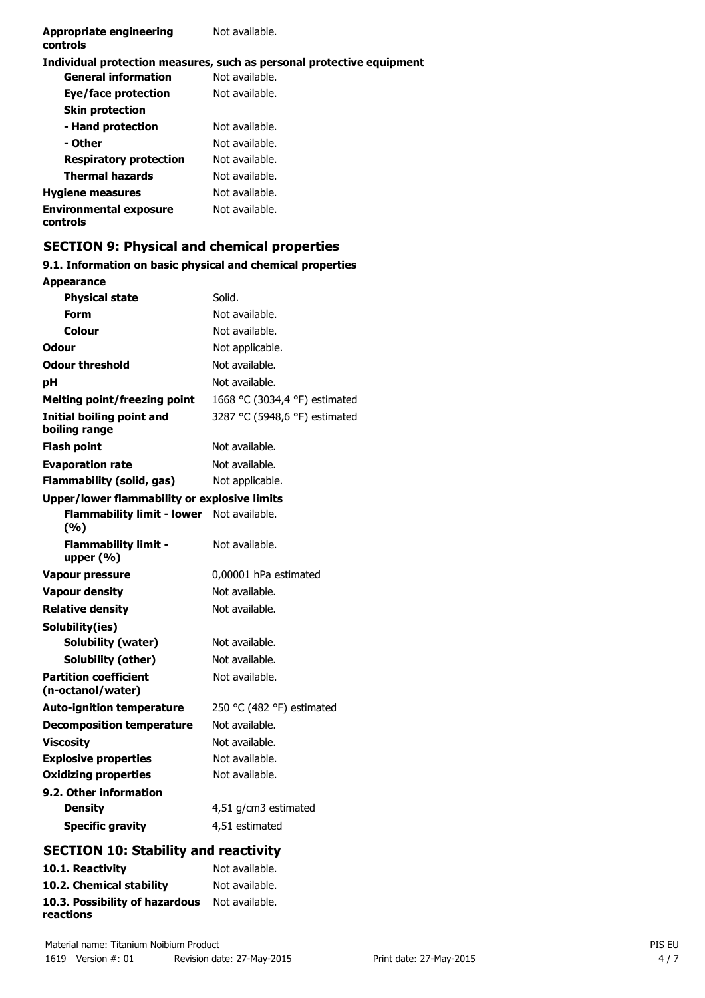#### **Individual protection measures, such as personal protective equipment**

| <b>General information</b>                | Not available. |
|-------------------------------------------|----------------|
| Eye/face protection                       | Not available. |
| <b>Skin protection</b>                    |                |
| - Hand protection                         | Not available. |
| - Other                                   | Not available. |
| <b>Respiratory protection</b>             | Not available. |
| <b>Thermal hazards</b>                    | Not available. |
| <b>Hygiene measures</b>                   | Not available. |
| <b>Environmental exposure</b><br>controls | Not available. |

### **SECTION 9: Physical and chemical properties**

#### **9.1. Information on basic physical and chemical properties Appearance**

| <b>Physical state</b>                             | Solid.                        |
|---------------------------------------------------|-------------------------------|
| Form                                              | Not available.                |
| Colour                                            | Not available.                |
| Odour                                             | Not applicable.               |
| <b>Odour threshold</b>                            | Not available.                |
| рH                                                | Not available.                |
| <b>Melting point/freezing point</b>               | 1668 °C (3034,4 °F) estimated |
| Initial boiling point and<br>boiling range        | 3287 °C (5948,6 °F) estimated |
| <b>Flash point</b>                                | Not available.                |
| <b>Evaporation rate</b>                           | Not available.                |
| <b>Flammability (solid, gas)</b>                  | Not applicable.               |
| Upper/lower flammability or explosive limits      |                               |
| <b>Flammability limit - lower</b><br>(9/6)        | Not available.                |
| <b>Flammability limit -</b><br>upper (%)          | Not available.                |
| <b>Vapour pressure</b>                            | 0,00001 hPa estimated         |
| <b>Vapour density</b>                             | Not available.                |
| <b>Relative density</b>                           | Not available.                |
| Solubility(ies)                                   |                               |
| <b>Solubility (water)</b>                         | Not available.                |
| <b>Solubility (other)</b>                         | Not available.                |
| <b>Partition coefficient</b><br>(n-octanol/water) | Not available.                |
| <b>Auto-ignition temperature</b>                  | 250 °C (482 °F) estimated     |
| <b>Decomposition temperature</b>                  | Not available.                |
| <b>Viscosity</b>                                  | Not available.                |
| <b>Explosive properties</b>                       | Not available.                |
| <b>Oxidizing properties</b>                       | Not available.                |
| 9.2. Other information                            |                               |
| <b>Density</b>                                    | 4,51 g/cm3 estimated          |
| <b>Specific gravity</b>                           | 4,51 estimated                |

# **SECTION 10: Stability and reactivity**

| 10.1. Reactivity               | Not available. |
|--------------------------------|----------------|
| 10.2. Chemical stability       | Not available. |
| 10.3. Possibility of hazardous | Not available. |
| reactions                      |                |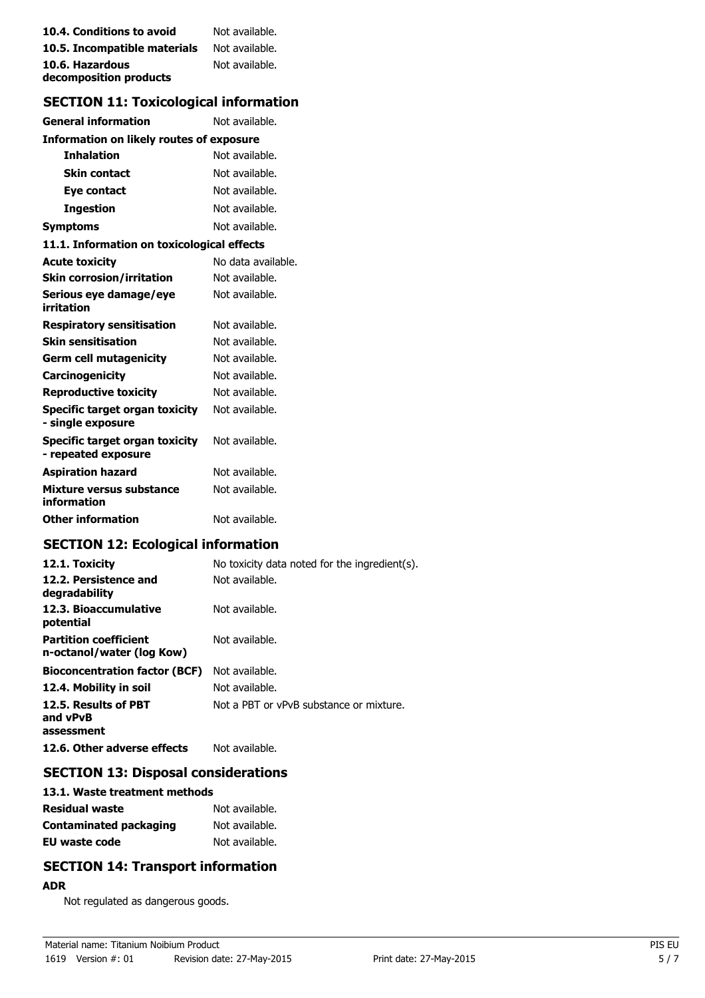| 10.4. Conditions to avoid    | Not available. |
|------------------------------|----------------|
| 10.5. Incompatible materials | Not available. |
| 10.6. Hazardous              | Not available. |
| decomposition products       |                |

# **SECTION 11: Toxicological information**

| <b>General information</b>                            | Not available.     |
|-------------------------------------------------------|--------------------|
| <b>Information on likely routes of exposure</b>       |                    |
| <b>Inhalation</b>                                     | Not available.     |
| <b>Skin contact</b>                                   | Not available.     |
| Eye contact                                           | Not available.     |
| <b>Ingestion</b>                                      | Not available.     |
| <b>Symptoms</b>                                       | Not available.     |
| 11.1. Information on toxicological effects            |                    |
| <b>Acute toxicity</b>                                 | No data available. |
| <b>Skin corrosion/irritation</b>                      | Not available.     |
| Serious eye damage/eye<br>irritation                  | Not available.     |
| <b>Respiratory sensitisation</b>                      | Not available.     |
| <b>Skin sensitisation</b>                             | Not available.     |
| <b>Germ cell mutagenicity</b>                         | Not available.     |
| <b>Carcinogenicity</b>                                | Not available.     |
| <b>Reproductive toxicity</b>                          | Not available.     |
| Specific target organ toxicity<br>- single exposure   | Not available.     |
| Specific target organ toxicity<br>- repeated exposure | Not available.     |
| <b>Aspiration hazard</b>                              | Not available.     |
| Mixture versus substance<br>information               | Not available.     |
| <b>Other information</b>                              | Not available.     |

# **SECTION 12: Ecological information**

| 12.1. Toxicity                                            | No toxicity data noted for the ingredient(s). |
|-----------------------------------------------------------|-----------------------------------------------|
| 12.2. Persistence and<br>degradability                    | Not available.                                |
| 12.3. Bioaccumulative<br>potential                        | Not available.                                |
| <b>Partition coefficient</b><br>n-octanol/water (log Kow) | Not available.                                |
| <b>Bioconcentration factor (BCF)</b>                      | Not available.                                |
| 12.4. Mobility in soil                                    | Not available.                                |
| 12.5. Results of PBT<br>and vPvB<br>assessment            | Not a PBT or vPvB substance or mixture.       |
| 12.6. Other adverse effects                               | Not available.                                |

#### **SECTION 13: Disposal considerations**

| 13.1. Waste treatment methods |                |
|-------------------------------|----------------|
| Residual waste                | Not available. |
| Contaminated packaging        | Not available. |
| EU waste code                 | Not available. |

## **SECTION 14: Transport information**

#### **ADR**

Not regulated as dangerous goods.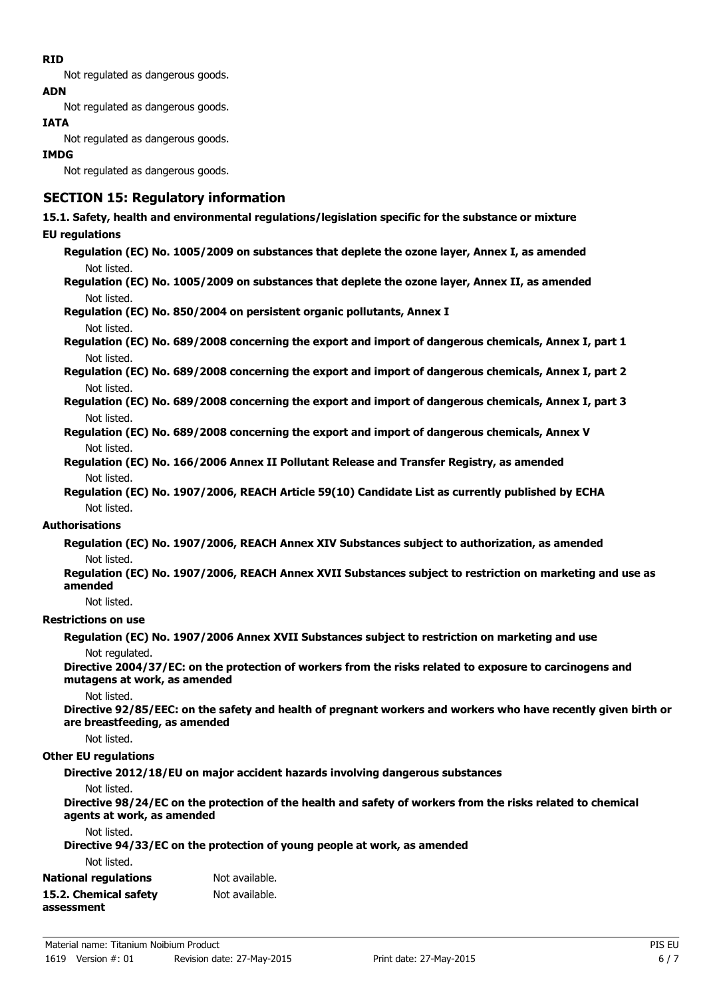#### **RID**

Not regulated as dangerous goods.

#### **ADN**

Not regulated as dangerous goods.

#### **IATA**

Not regulated as dangerous goods.

#### **IMDG**

Not regulated as dangerous goods.

#### **SECTION 15: Regulatory information**

# **15.1. Safety, health and environmental regulations/legislation specific for the substance or mixture**

#### **EU regulations**

**Regulation (EC) No. 1005/2009 on substances that deplete the ozone layer, Annex I, as amended** Not listed.

**Regulation (EC) No. 1005/2009 on substances that deplete the ozone layer, Annex II, as amended** Not listed.

**Regulation (EC) No. 850/2004 on persistent organic pollutants, Annex I**

#### Not listed.

**Regulation (EC) No. 689/2008 concerning the export and import of dangerous chemicals, Annex I, part 1** Not listed.

**Regulation (EC) No. 689/2008 concerning the export and import of dangerous chemicals, Annex I, part 2** Not listed.

**Regulation (EC) No. 689/2008 concerning the export and import of dangerous chemicals, Annex I, part 3** Not listed.

- **Regulation (EC) No. 689/2008 concerning the export and import of dangerous chemicals, Annex V** Not listed.
- **Regulation (EC) No. 166/2006 Annex II Pollutant Release and Transfer Registry, as amended** Not listed.
- **Regulation (EC) No. 1907/2006, REACH Article 59(10) Candidate List as currently published by ECHA** Not listed.

#### **Authorisations**

**Regulation (EC) No. 1907/2006, REACH Annex XIV Substances subject to authorization, as amended** Not listed.

#### **Regulation (EC) No. 1907/2006, REACH Annex XVII Substances subject to restriction on marketing and use as amended**

Not listed.

#### **Restrictions on use**

**Regulation (EC) No. 1907/2006 Annex XVII Substances subject to restriction on marketing and use** Not regulated.

**Directive 2004/37/EC: on the protection of workers from the risks related to exposure to carcinogens and mutagens at work, as amended**

#### Not listed.

**Directive 92/85/EEC: on the safety and health of pregnant workers and workers who have recently given birth or are breastfeeding, as amended**

Not listed.

#### **Other EU regulations**

**Directive 2012/18/EU on major accident hazards involving dangerous substances**

Not listed.

**Directive 98/24/EC on the protection of the health and safety of workers from the risks related to chemical agents at work, as amended**

# Not listed.

**Directive 94/33/EC on the protection of young people at work, as amended**

Not listed.

| <b>National regulations</b> | Not available. |
|-----------------------------|----------------|
| 15.2. Chemical safety       | Not available. |
| assessment                  |                |